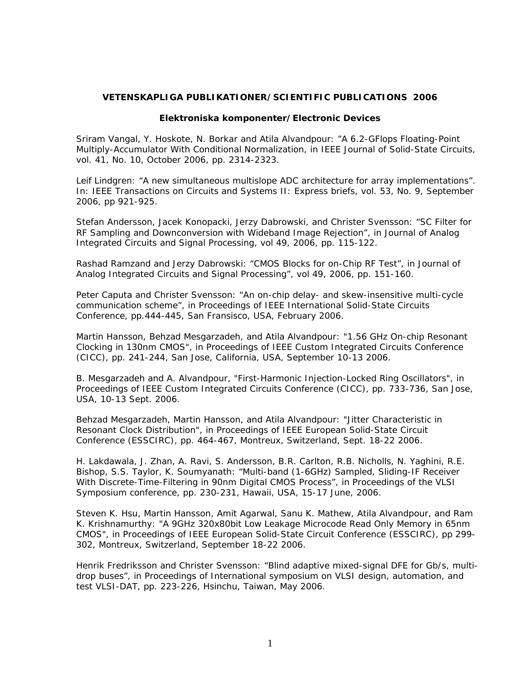## **VETENSKAPLIGA PUBLIKATIONER/SCIENTIFIC PUBLICATIONS 2006**

## **Elektroniska komponenter/Electronic Devices**

Sriram Vangal, Y. Hoskote, N. Borkar and Atila Alvandpour: "A 6.2-GFlops Floating-Point Multiply-Accumulator With Conditional Normalization, in IEEE Journal of Solid-State Circuits, vol. 41, No. 10, October 2006, pp. 2314-2323.

Leif Lindgren: "A new simultaneous multislope ADC architecture for array implementations". In: IEEE Transactions on Circuits and Systems II: Express briefs, vol. 53, No. 9, September 2006, pp 921-925.

Stefan Andersson, Jacek Konopacki, Jerzy Dabrowski, and Christer Svensson: "SC Filter for RF Sampling and Downconversion with Wideband Image Rejection", in Journal of Analog Integrated Circuits and Signal Processing, vol 49, 2006, pp. 115-122.

Rashad Ramzand and Jerzy Dabrowski: "CMOS Blocks for on-Chip RF Test", in Journal of Analog Integrated Circuits and Signal Processing", vol 49, 2006, pp. 151-160.

Peter Caputa and Christer Svensson: "An on-chip delay- and skew-insensitive multi-cycle communication scheme", in Proceedings of IEEE International Solid-State Circuits Conference, pp.444-445, San Fransisco, USA, February 2006.

Martin Hansson, Behzad Mesgarzadeh, and Atila Alvandpour: "1.56 GHz On-chip Resonant Clocking in 130nm CMOS", in Proceedings of IEEE Custom Integrated Circuits Conference (CICC), pp. 241-244, San Jose, California, USA, September 10-13 2006.

B. Mesgarzadeh and A. Alvandpour, "First-Harmonic Injection-Locked Ring Oscillators", in Proceedings of IEEE Custom Integrated Circuits Conference (CICC), pp. 733-736, San Jose, USA, 10-13 Sept. 2006.

Behzad Mesgarzadeh, Martin Hansson, and Atila Alvandpour: "Jitter Characteristic in Resonant Clock Distribution", in Proceedings of IEEE European Solid-State Circuit Conference (ESSCIRC), pp. 464-467, Montreux, Switzerland, Sept. 18-22 2006.

H. Lakdawala, J. Zhan, A. Ravi, S. Andersson, B.R. Carlton, R.B. Nicholls, N. Yaghini, R.E. Bishop, S.S. Taylor, K. Soumyanath: "Multi-band (1-6GHz) Sampled, Sliding-IF Receiver With Discrete-Time-Filtering in 90nm Digital CMOS Process", in Proceedings of the VLSI Symposium conference, pp. 230-231, Hawaii, USA, 15-17 June, 2006.

Steven K. Hsu, Martin Hansson, Amit Agarwal, Sanu K. Mathew, Atila Alvandpour, and Ram K. Krishnamurthy: "A 9GHz 320x80bit Low Leakage Microcode Read Only Memory in 65nm CMOS", in Proceedings of IEEE European Solid-State Circuit Conference (ESSCIRC), pp 299- 302, Montreux, Switzerland, September 18-22 2006.

Henrik Fredriksson and Christer Svensson: "Blind adaptive mixed-signal DFE for Gb/s, multidrop buses", in Proceedings of International symposium on VLSI design, automation, and test VLSI-DAT, pp. 223-226, Hsinchu, Taiwan, May 2006.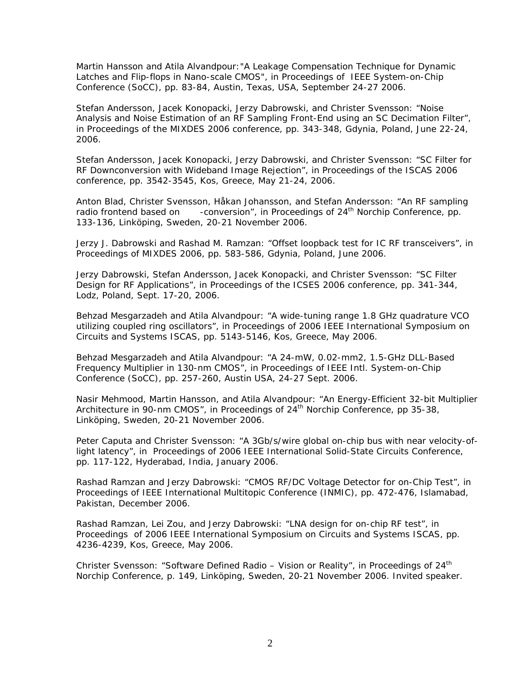Martin Hansson and Atila Alvandpour:"A Leakage Compensation Technique for Dynamic Latches and Flip-flops in Nano-scale CMOS", in Proceedings of IEEE System-on-Chip Conference (SoCC), pp. 83-84, Austin, Texas, USA, September 24-27 2006.

Stefan Andersson, Jacek Konopacki, Jerzy Dabrowski, and Christer Svensson: "Noise Analysis and Noise Estimation of an RF Sampling Front-End using an SC Decimation Filter", in Proceedings of the MIXDES 2006 conference, pp. 343-348, Gdynia, Poland, June 22-24, 2006.

Stefan Andersson, Jacek Konopacki, Jerzy Dabrowski, and Christer Svensson: "SC Filter for RF Downconversion with Wideband Image Rejection", in Proceedings of the ISCAS 2006 conference, pp. 3542-3545, Kos, Greece, May 21-24, 2006.

Anton Blad, Christer Svensson, Håkan Johansson, and Stefan Andersson: "An RF sampling radio frontend based on -conversion", in Proceedings of 24<sup>th</sup> Norchip Conference, pp. 133-136, Linköping, Sweden, 20-21 November 2006.

Jerzy J. Dabrowski and Rashad M. Ramzan: "Offset loopback test for IC RF transceivers", in Proceedings of MIXDES 2006, pp. 583-586, Gdynia, Poland, June 2006.

Jerzy Dabrowski, Stefan Andersson, Jacek Konopacki, and Christer Svensson: "SC Filter Design for RF Applications", in Proceedings of the ICSES 2006 conference, pp. 341-344, Lodz, Poland, Sept. 17-20, 2006.

Behzad Mesgarzadeh and Atila Alvandpour: "A wide-tuning range 1.8 GHz quadrature VCO utilizing coupled ring oscillators", in Proceedings of 2006 IEEE International Symposium on Circuits and Systems ISCAS, pp. 5143-5146, Kos, Greece, May 2006.

Behzad Mesgarzadeh and Atila Alvandpour: "A 24-mW, 0.02-mm2, 1.5-GHz DLL-Based Frequency Multiplier in 130-nm CMOS", in Proceedings of IEEE Intl. System-on-Chip Conference (SoCC), pp. 257-260, Austin USA, 24-27 Sept. 2006.

Nasir Mehmood, Martin Hansson, and Atila Alvandpour: "An Energy-Efficient 32-bit Multiplier Architecture in 90-nm CMOS", in Proceedings of  $24<sup>th</sup>$  Norchip Conference, pp 35-38, Linköping, Sweden, 20-21 November 2006.

Peter Caputa and Christer Svensson: "A 3Gb/s/wire global on-chip bus with near velocity-oflight latency", in Proceedings of 2006 IEEE International Solid-State Circuits Conference, pp. 117-122, Hyderabad, India, January 2006.

Rashad Ramzan and Jerzy Dabrowski: "CMOS RF/DC Voltage Detector for on-Chip Test", in Proceedings of IEEE International Multitopic Conference (INMIC), pp. 472-476, Islamabad, Pakistan, December 2006.

Rashad Ramzan, Lei Zou, and Jerzy Dabrowski: "LNA design for on-chip RF test", in Proceedings of 2006 IEEE International Symposium on Circuits and Systems ISCAS, pp. 4236-4239, Kos, Greece, May 2006.

Christer Svensson: "Software Defined Radio – Vision or Reality", in Proceedings of  $24<sup>th</sup>$ Norchip Conference, p. 149, Linköping, Sweden, 20-21 November 2006. *Invited speaker.*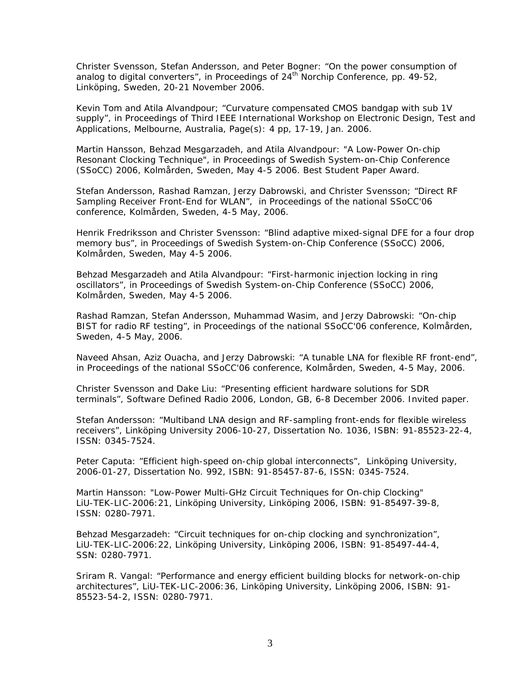Christer Svensson, Stefan Andersson, and Peter Bogner: "On the power consumption of analog to digital converters", in Proceedings of  $24<sup>th</sup>$  Norchip Conference, pp. 49-52, Linköping, Sweden, 20-21 November 2006.

Kevin Tom and Atila Alvandpour; "Curvature compensated CMOS bandgap with sub 1V supply", in Proceedings of Third IEEE International Workshop on Electronic Design, Test and Applications, Melbourne, Australia, Page(s): 4 pp, 17-19, Jan. 2006.

Martin Hansson, Behzad Mesgarzadeh, and Atila Alvandpour: "A Low-Power On-chip Resonant Clocking Technique", in Proceedings of Swedish System-on-Chip Conference (SSoCC) 2006, Kolmården, Sweden, May 4-5 2006. *Best Student Paper Award.*

Stefan Andersson, Rashad Ramzan, Jerzy Dabrowski, and Christer Svensson; "Direct RF Sampling Receiver Front-End for WLAN", in Proceedings of the national SSoCC'06 conference, Kolmården, Sweden, 4-5 May, 2006.

Henrik Fredriksson and Christer Svensson: "Blind adaptive mixed-signal DFE for a four drop memory bus", in Proceedings of Swedish System-on-Chip Conference (SSoCC) 2006, Kolmården, Sweden, May 4-5 2006.

Behzad Mesgarzadeh and Atila Alvandpour: "First-harmonic injection locking in ring oscillators", in Proceedings of Swedish System-on-Chip Conference (SSoCC) 2006, Kolmården, Sweden, May 4-5 2006.

Rashad Ramzan, Stefan Andersson, Muhammad Wasim, and Jerzy Dabrowski: "On-chip BIST for radio RF testing", in Proceedings of the national SSoCC'06 conference, Kolmården, Sweden, 4-5 May, 2006.

Naveed Ahsan, Aziz Ouacha, and Jerzy Dabrowski: "A tunable LNA for flexible RF front-end", in Proceedings of the national SSoCC'06 conference, Kolmården, Sweden, 4-5 May, 2006.

Christer Svensson and Dake Liu: "Presenting efficient hardware solutions for SDR terminals", Software Defined Radio 2006, London, GB, 6-8 December 2006. *Invited paper.*

Stefan Andersson: "Multiband LNA design and RF-sampling front-ends for flexible wireless receivers", Linköping University 2006-10-27, Dissertation No. 1036, ISBN: 91-85523-22-4, ISSN: 0345-7524.

Peter Caputa: "Efficient high-speed on-chip global interconnects", Linköping University, 2006-01-27, Dissertation No. 992, ISBN: 91-85457-87-6, ISSN: 0345-7524.

Martin Hansson: "Low-Power Multi-GHz Circuit Techniques for On-chip Clocking" LiU-TEK-LIC-2006:21, Linköping University, Linköping 2006, ISBN: 91-85497-39-8, ISSN: 0280-7971.

Behzad Mesgarzadeh: "Circuit techniques for on-chip clocking and synchronization", LiU-TEK-LIC-2006:22, Linköping University, Linköping 2006, ISBN: 91-85497-44-4, SSN: 0280-7971.

Sriram R. Vangal: "Performance and energy efficient building blocks for network-on-chip architectures", LiU-TEK-LIC-2006:36, Linköping University, Linköping 2006, ISBN: 91- 85523-54-2, ISSN: 0280-7971.